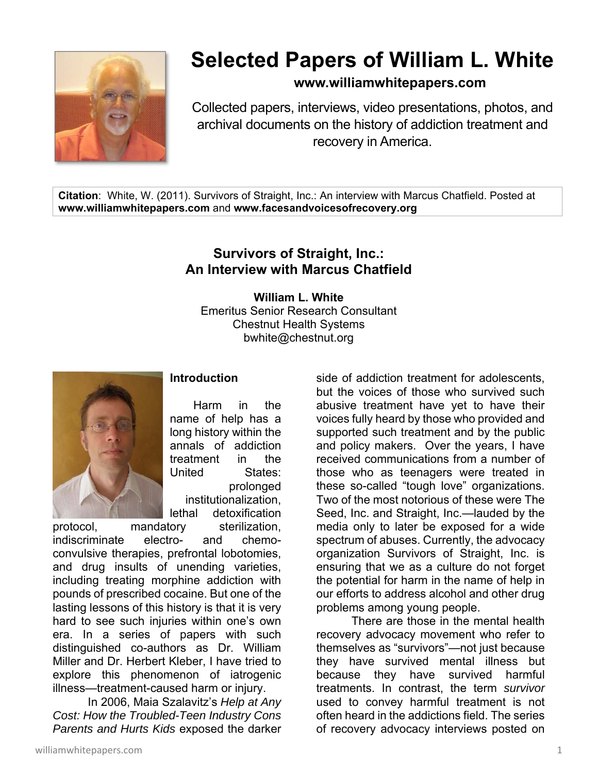

# **Selected Papers of William L. White**

**www.williamwhitepapers.com**

Collected papers, interviews, video presentations, photos, and archival documents on the history of addiction treatment and recovery in America.

**Citation**: White, W. (2011). Survivors of Straight, Inc.: An interview with Marcus Chatfield. Posted at **www.williamwhitepapers.com** and **www.facesandvoicesofrecovery.org** 

## **Survivors of Straight, Inc.: An Interview with Marcus Chatfield**

**William L. White**  Emeritus Senior Research Consultant Chestnut Health Systems bwhite@chestnut.org



## **Introduction**

Harm in the name of help has a long history within the annals of addiction treatment in the United States: prolonged institutionalization, lethal detoxification

protocol, mandatory sterilization, indiscriminate electro- and chemoconvulsive therapies, prefrontal lobotomies, and drug insults of unending varieties, including treating morphine addiction with pounds of prescribed cocaine. But one of the lasting lessons of this history is that it is very hard to see such injuries within one's own era. In a series of papers with such distinguished co-authors as Dr. William Miller and Dr. Herbert Kleber, I have tried to explore this phenomenon of iatrogenic illness—treatment-caused harm or injury.

 In 2006, Maia Szalavitz's *Help at Any Cost: How the Troubled-Teen Industry Cons Parents and Hurts Kids* exposed the darker

side of addiction treatment for adolescents, but the voices of those who survived such abusive treatment have yet to have their voices fully heard by those who provided and supported such treatment and by the public and policy makers. Over the years, I have received communications from a number of those who as teenagers were treated in these so-called "tough love" organizations. Two of the most notorious of these were The Seed, Inc. and Straight, Inc.—lauded by the media only to later be exposed for a wide spectrum of abuses. Currently, the advocacy organization Survivors of Straight, Inc. is ensuring that we as a culture do not forget the potential for harm in the name of help in our efforts to address alcohol and other drug problems among young people.

 There are those in the mental health recovery advocacy movement who refer to themselves as "survivors"—not just because they have survived mental illness but because they have survived harmful treatments. In contrast, the term *survivor* used to convey harmful treatment is not often heard in the addictions field. The series of recovery advocacy interviews posted on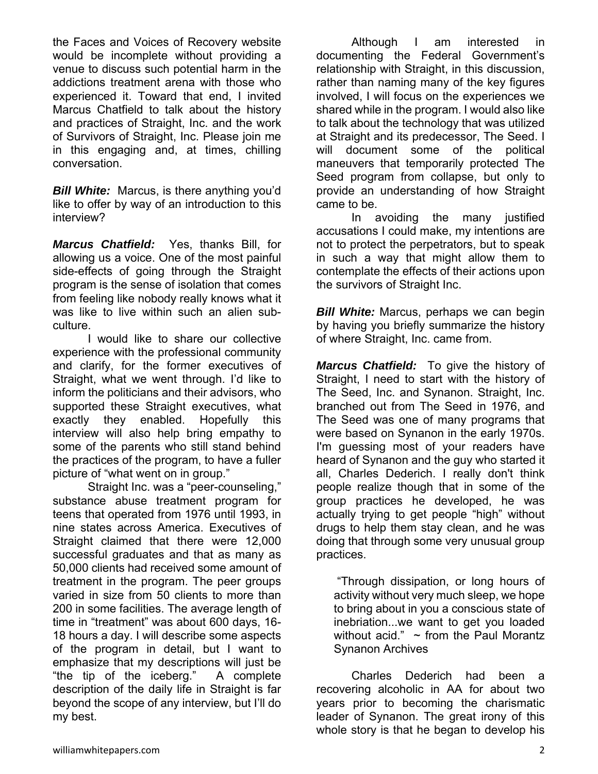the Faces and Voices of Recovery website would be incomplete without providing a venue to discuss such potential harm in the addictions treatment arena with those who experienced it. Toward that end, I invited Marcus Chatfield to talk about the history and practices of Straight, Inc. and the work of Survivors of Straight, Inc. Please join me in this engaging and, at times, chilling conversation.

**Bill White:** Marcus, is there anything you'd like to offer by way of an introduction to this interview?

*Marcus Chatfield:*Yes, thanks Bill, for allowing us a voice. One of the most painful side-effects of going through the Straight program is the sense of isolation that comes from feeling like nobody really knows what it was like to live within such an alien subculture.

 I would like to share our collective experience with the professional community and clarify, for the former executives of Straight, what we went through. I'd like to inform the politicians and their advisors, who supported these Straight executives, what exactly they enabled. Hopefully this interview will also help bring empathy to some of the parents who still stand behind the practices of the program, to have a fuller picture of "what went on in group."

 Straight Inc. was a "peer-counseling," substance abuse treatment program for teens that operated from 1976 until 1993, in nine states across America. Executives of Straight claimed that there were 12,000 successful graduates and that as many as 50,000 clients had received some amount of treatment in the program. The peer groups varied in size from 50 clients to more than 200 in some facilities. The average length of time in "treatment" was about 600 days, 16- 18 hours a day. I will describe some aspects of the program in detail, but I want to emphasize that my descriptions will just be "the tip of the iceberg." A complete description of the daily life in Straight is far beyond the scope of any interview, but I'll do my best.

 Although I am interested in documenting the Federal Government's relationship with Straight, in this discussion, rather than naming many of the key figures involved, I will focus on the experiences we shared while in the program. I would also like to talk about the technology that was utilized at Straight and its predecessor, The Seed. I will document some of the political maneuvers that temporarily protected The Seed program from collapse, but only to provide an understanding of how Straight came to be.

 In avoiding the many justified accusations I could make, my intentions are not to protect the perpetrators, but to speak in such a way that might allow them to contemplate the effects of their actions upon the survivors of Straight Inc.

*Bill White:* Marcus, perhaps we can begin by having you briefly summarize the history of where Straight, Inc. came from.

*Marcus Chatfield:*To give the history of Straight, I need to start with the history of The Seed, Inc. and Synanon. Straight, Inc. branched out from The Seed in 1976, and The Seed was one of many programs that were based on Synanon in the early 1970s. I'm guessing most of your readers have heard of Synanon and the guy who started it all, Charles Dederich. I really don't think people realize though that in some of the group practices he developed, he was actually trying to get people "high" without drugs to help them stay clean, and he was doing that through some very unusual group practices.

 "Through dissipation, or long hours of activity without very much sleep, we hope to bring about in you a conscious state of inebriation...we want to get you loaded without acid."  $\sim$  from the Paul Morantz Synanon Archives

 Charles Dederich had been a recovering alcoholic in AA for about two years prior to becoming the charismatic leader of Synanon. The great irony of this whole story is that he began to develop his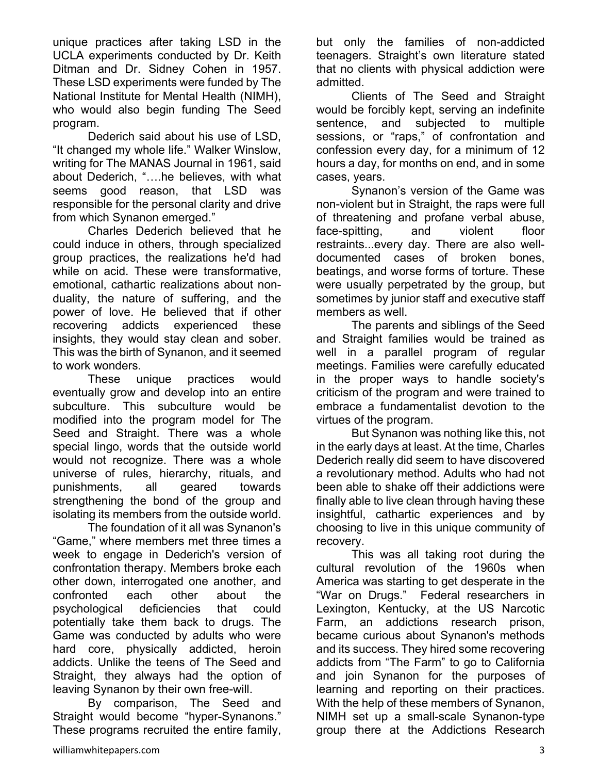unique practices after taking LSD in the UCLA experiments conducted by Dr. Keith Ditman and Dr. Sidney Cohen in 1957. These LSD experiments were funded by The National Institute for Mental Health (NIMH), who would also begin funding The Seed program.

 Dederich said about his use of LSD, "It changed my whole life." Walker Winslow, writing for The MANAS Journal in 1961, said about Dederich, "….he believes, with what seems good reason, that LSD was responsible for the personal clarity and drive from which Synanon emerged."

 Charles Dederich believed that he could induce in others, through specialized group practices, the realizations he'd had while on acid. These were transformative, emotional, cathartic realizations about nonduality, the nature of suffering, and the power of love. He believed that if other recovering addicts experienced these insights, they would stay clean and sober. This was the birth of Synanon, and it seemed to work wonders.

 These unique practices would eventually grow and develop into an entire subculture. This subculture would be modified into the program model for The Seed and Straight. There was a whole special lingo, words that the outside world would not recognize. There was a whole universe of rules, hierarchy, rituals, and punishments, all geared towards strengthening the bond of the group and isolating its members from the outside world.

 The foundation of it all was Synanon's "Game," where members met three times a week to engage in Dederich's version of confrontation therapy. Members broke each other down, interrogated one another, and confronted each other about the psychological deficiencies that could potentially take them back to drugs. The Game was conducted by adults who were hard core, physically addicted, heroin addicts. Unlike the teens of The Seed and Straight, they always had the option of leaving Synanon by their own free-will.

 By comparison, The Seed and Straight would become "hyper-Synanons." These programs recruited the entire family,

but only the families of non-addicted teenagers. Straight's own literature stated that no clients with physical addiction were admitted.

 Clients of The Seed and Straight would be forcibly kept, serving an indefinite sentence, and subjected to multiple sessions, or "raps," of confrontation and confession every day, for a minimum of 12 hours a day, for months on end, and in some cases, years.

 Synanon's version of the Game was non-violent but in Straight, the raps were full of threatening and profane verbal abuse, face-spitting, and violent floor restraints...every day. There are also welldocumented cases of broken bones, beatings, and worse forms of torture. These were usually perpetrated by the group, but sometimes by junior staff and executive staff members as well.

 The parents and siblings of the Seed and Straight families would be trained as well in a parallel program of regular meetings. Families were carefully educated in the proper ways to handle society's criticism of the program and were trained to embrace a fundamentalist devotion to the virtues of the program.

 But Synanon was nothing like this, not in the early days at least. At the time, Charles Dederich really did seem to have discovered a revolutionary method. Adults who had not been able to shake off their addictions were finally able to live clean through having these insightful, cathartic experiences and by choosing to live in this unique community of recovery.

 This was all taking root during the cultural revolution of the 1960s when America was starting to get desperate in the "War on Drugs." Federal researchers in Lexington, Kentucky, at the US Narcotic Farm, an addictions research prison, became curious about Synanon's methods and its success. They hired some recovering addicts from "The Farm" to go to California and join Synanon for the purposes of learning and reporting on their practices. With the help of these members of Synanon, NIMH set up a small-scale Synanon-type group there at the Addictions Research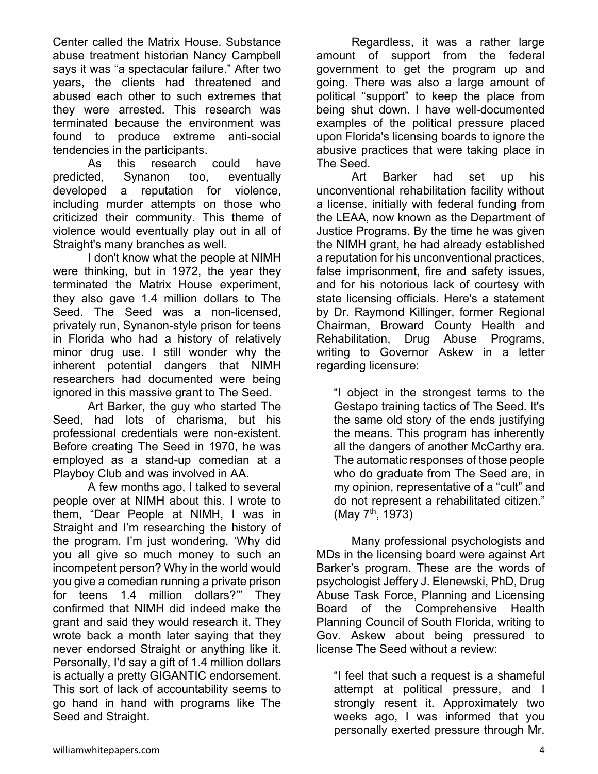Center called the Matrix House. Substance abuse treatment historian Nancy Campbell says it was "a spectacular failure." After two years, the clients had threatened and abused each other to such extremes that they were arrested. This research was terminated because the environment was found to produce extreme anti-social tendencies in the participants.

 As this research could have predicted, Synanon too, eventually developed a reputation for violence, including murder attempts on those who criticized their community. This theme of violence would eventually play out in all of Straight's many branches as well.

 I don't know what the people at NIMH were thinking, but in 1972, the year they terminated the Matrix House experiment, they also gave 1.4 million dollars to The Seed. The Seed was a non-licensed, privately run, Synanon-style prison for teens in Florida who had a history of relatively minor drug use. I still wonder why the inherent potential dangers that NIMH researchers had documented were being ignored in this massive grant to The Seed.

 Art Barker, the guy who started The Seed, had lots of charisma, but his professional credentials were non-existent. Before creating The Seed in 1970, he was employed as a stand-up comedian at a Playboy Club and was involved in AA.

 A few months ago, I talked to several people over at NIMH about this. I wrote to them, "Dear People at NIMH, I was in Straight and I'm researching the history of the program. I'm just wondering, 'Why did you all give so much money to such an incompetent person? Why in the world would you give a comedian running a private prison for teens 1.4 million dollars?'" They confirmed that NIMH did indeed make the grant and said they would research it. They wrote back a month later saying that they never endorsed Straight or anything like it. Personally, I'd say a gift of 1.4 million dollars is actually a pretty GIGANTIC endorsement. This sort of lack of accountability seems to go hand in hand with programs like The Seed and Straight.

 Regardless, it was a rather large amount of support from the federal government to get the program up and going. There was also a large amount of political "support" to keep the place from being shut down. I have well-documented examples of the political pressure placed upon Florida's licensing boards to ignore the abusive practices that were taking place in The Seed.

 Art Barker had set up his unconventional rehabilitation facility without a license, initially with federal funding from the LEAA, now known as the Department of Justice Programs. By the time he was given the NIMH grant, he had already established a reputation for his unconventional practices, false imprisonment, fire and safety issues, and for his notorious lack of courtesy with state licensing officials. Here's a statement by Dr. Raymond Killinger, former Regional Chairman, Broward County Health and Rehabilitation, Drug Abuse Programs, writing to Governor Askew in a letter regarding licensure:

"I object in the strongest terms to the Gestapo training tactics of The Seed. It's the same old story of the ends justifying the means. This program has inherently all the dangers of another McCarthy era. The automatic responses of those people who do graduate from The Seed are, in my opinion, representative of a "cult" and do not represent a rehabilitated citizen." (May  $7^{\text{th}}$ , 1973)

 Many professional psychologists and MDs in the licensing board were against Art Barker's program. These are the words of psychologist Jeffery J. Elenewski, PhD, Drug Abuse Task Force, Planning and Licensing Board of the Comprehensive Health Planning Council of South Florida, writing to Gov. Askew about being pressured to license The Seed without a review:

"I feel that such a request is a shameful attempt at political pressure, and I strongly resent it. Approximately two weeks ago, I was informed that you personally exerted pressure through Mr.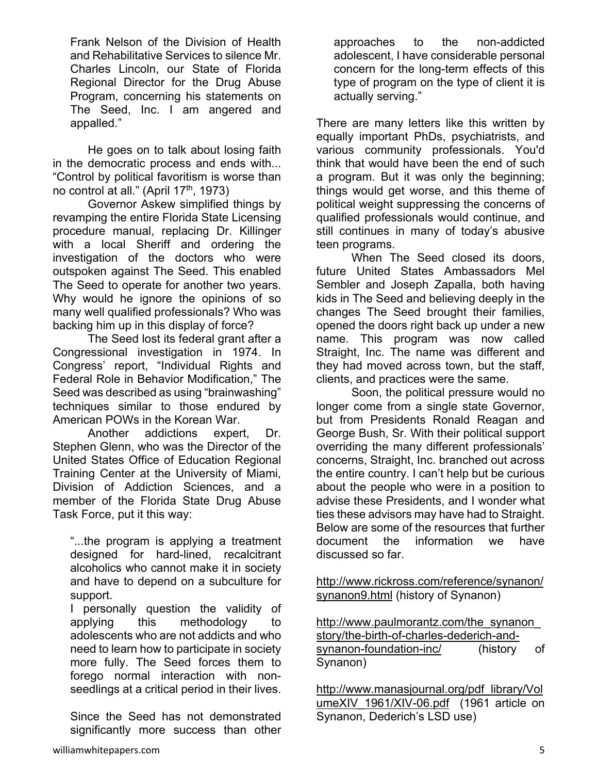Frank Nelson of the Division of Health and Rehabilitative Services to silence Mr. Charles Lincoln, our State of Florida Regional Director for the Drug Abuse Program, concerning his statements on The Seed, Inc. I am angered and appalled."

 He goes on to talk about losing faith in the democratic process and ends with... "Control by political favoritism is worse than no control at all." (April 17<sup>th</sup>, 1973)

 Governor Askew simplified things by revamping the entire Florida State Licensing procedure manual, replacing Dr. Killinger with a local Sheriff and ordering the investigation of the doctors who were outspoken against The Seed. This enabled The Seed to operate for another two years. Why would he ignore the opinions of so many well qualified professionals? Who was backing him up in this display of force?

 The Seed lost its federal grant after a Congressional investigation in 1974. In Congress' report, "Individual Rights and Federal Role in Behavior Modification," The Seed was described as using "brainwashing" techniques similar to those endured by American POWs in the Korean War.

 Another addictions expert, Dr. Stephen Glenn, who was the Director of the United States Office of Education Regional Training Center at the University of Miami, Division of Addiction Sciences, and a member of the Florida State Drug Abuse Task Force, put it this way:

"...the program is applying a treatment designed for hard-lined, recalcitrant alcoholics who cannot make it in society and have to depend on a subculture for support.

I personally question the validity of applying this methodology to adolescents who are not addicts and who need to learn how to participate in society more fully. The Seed forces them to forego normal interaction with nonseedlings at a critical period in their lives.

Since the Seed has not demonstrated significantly more success than other

approaches to the non-addicted adolescent, I have considerable personal concern for the long-term effects of this type of program on the type of client it is actually serving."

There are many letters like this written by equally important PhDs, psychiatrists, and various community professionals. You'd think that would have been the end of such a program. But it was only the beginning; things would get worse, and this theme of political weight suppressing the concerns of qualified professionals would continue, and still continues in many of today's abusive teen programs.

 When The Seed closed its doors, future United States Ambassadors Mel Sembler and Joseph Zapalla, both having kids in The Seed and believing deeply in the changes The Seed brought their families, opened the doors right back up under a new name. This program was now called Straight, Inc. The name was different and they had moved across town, but the staff, clients, and practices were the same.

 Soon, the political pressure would no longer come from a single state Governor, but from Presidents Ronald Reagan and George Bush, Sr. With their political support overriding the many different professionals' concerns, Straight, Inc. branched out across the entire country. I can't help but be curious about the people who were in a position to advise these Presidents, and I wonder what ties these advisors may have had to Straight. Below are some of the resources that further document the information we have discussed so far.

http://www.rickross.com/reference/synanon/ synanon9.html (history of Synanon)

http://www.paulmorantz.com/the\_synanon\_ story/the-birth-of-charles-dederich-andsynanon-foundation-inc/ (history of Synanon)

http://www.manasjournal.org/pdf\_library/Vol umeXIV 1961/XIV-06.pdf (1961 article on Synanon, Dederich's LSD use)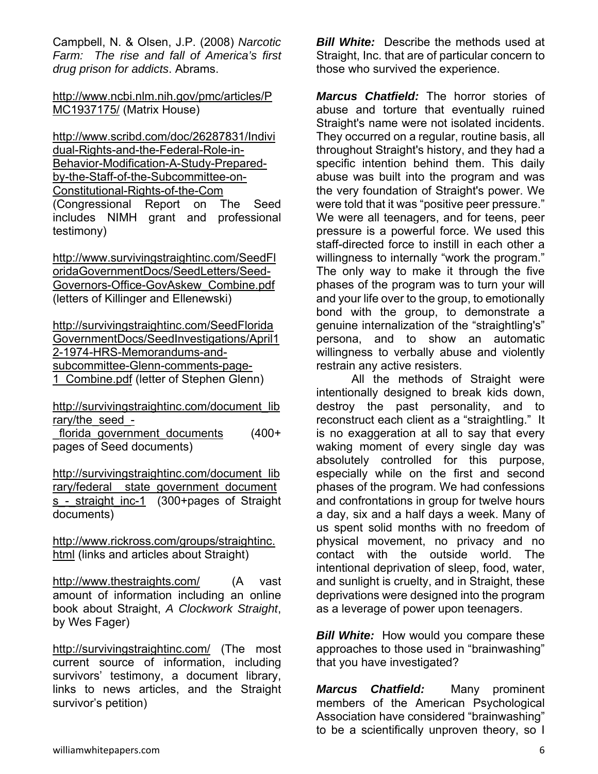Campbell, N. & Olsen, J.P. (2008) *Narcotic Farm: The rise and fall of America's first drug prison for addicts*. Abrams.

http://www.ncbi.nlm.nih.gov/pmc/articles/P MC1937175/ (Matrix House)

http://www.scribd.com/doc/26287831/Indivi dual-Rights-and-the-Federal-Role-in-Behavior-Modification-A-Study-Preparedby-the-Staff-of-the-Subcommittee-on-Constitutional-Rights-of-the-Com (Congressional Report on The Seed includes NIMH grant and professional testimony)

http://www.survivingstraightinc.com/SeedFl oridaGovernmentDocs/SeedLetters/Seed-Governors-Office-GovAskew\_Combine.pdf (letters of Killinger and Ellenewski)

http://survivingstraightinc.com/SeedFlorida GovernmentDocs/SeedInvestigations/April1 2-1974-HRS-Memorandums-andsubcommittee-Glenn-comments-page-1 Combine.pdf (letter of Stephen Glenn)

http://survivingstraightinc.com/document\_lib rary/the\_seed -

florida government documents (400+ pages of Seed documents)

http://survivingstraightinc.com/document\_lib rary/federal state government document s - straight inc-1 (300+pages of Straight documents)

http://www.rickross.com/groups/straightinc. html (links and articles about Straight)

http://www.thestraights.com/ (A vast amount of information including an online book about Straight, *A Clockwork Straight*, by Wes Fager)

http://survivingstraightinc.com/ (The most current source of information, including survivors' testimony, a document library, links to news articles, and the Straight survivor's petition)

*Bill White:* Describe the methods used at Straight, Inc. that are of particular concern to those who survived the experience.

*Marcus Chatfield:* The horror stories of abuse and torture that eventually ruined Straight's name were not isolated incidents. They occurred on a regular, routine basis, all throughout Straight's history, and they had a specific intention behind them. This daily abuse was built into the program and was the very foundation of Straight's power. We were told that it was "positive peer pressure." We were all teenagers, and for teens, peer pressure is a powerful force. We used this staff-directed force to instill in each other a willingness to internally "work the program." The only way to make it through the five phases of the program was to turn your will and your life over to the group, to emotionally bond with the group, to demonstrate a genuine internalization of the "straightling's" persona, and to show an automatic willingness to verbally abuse and violently restrain any active resisters.

 All the methods of Straight were intentionally designed to break kids down, destroy the past personality, and to reconstruct each client as a "straightling." It is no exaggeration at all to say that every waking moment of every single day was absolutely controlled for this purpose, especially while on the first and second phases of the program. We had confessions and confrontations in group for twelve hours a day, six and a half days a week. Many of us spent solid months with no freedom of physical movement, no privacy and no contact with the outside world. The intentional deprivation of sleep, food, water, and sunlight is cruelty, and in Straight, these deprivations were designed into the program as a leverage of power upon teenagers.

*Bill White:* How would you compare these approaches to those used in "brainwashing" that you have investigated?

*Marcus Chatfield:* Many prominent members of the American Psychological Association have considered "brainwashing" to be a scientifically unproven theory, so I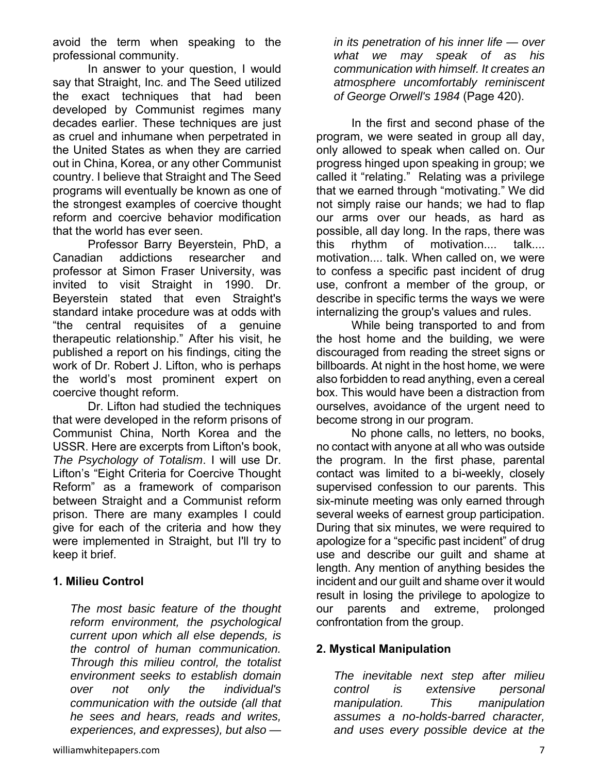avoid the term when speaking to the professional community.

 In answer to your question, I would say that Straight, Inc. and The Seed utilized the exact techniques that had been developed by Communist regimes many decades earlier. These techniques are just as cruel and inhumane when perpetrated in the United States as when they are carried out in China, Korea, or any other Communist country. I believe that Straight and The Seed programs will eventually be known as one of the strongest examples of coercive thought reform and coercive behavior modification that the world has ever seen.

 Professor Barry Beyerstein, PhD, a Canadian addictions researcher and professor at Simon Fraser University, was invited to visit Straight in 1990. Dr. Beyerstein stated that even Straight's standard intake procedure was at odds with "the central requisites of a genuine therapeutic relationship." After his visit, he published a report on his findings, citing the work of Dr. Robert J. Lifton, who is perhaps the world's most prominent expert on coercive thought reform.

 Dr. Lifton had studied the techniques that were developed in the reform prisons of Communist China, North Korea and the USSR. Here are excerpts from Lifton's book, *The Psychology of Totalism*. I will use Dr. Lifton's "Eight Criteria for Coercive Thought Reform" as a framework of comparison between Straight and a Communist reform prison. There are many examples I could give for each of the criteria and how they were implemented in Straight, but I'll try to keep it brief.

## **1. Milieu Control**

*The most basic feature of the thought reform environment, the psychological current upon which all else depends, is the control of human communication. Through this milieu control, the totalist environment seeks to establish domain over not only the individual's communication with the outside (all that he sees and hears, reads and writes, experiences, and expresses), but also —* 

*in its penetration of his inner life — over what we may speak of as his communication with himself. It creates an atmosphere uncomfortably reminiscent of George Orwell's 1984* (Page 420).

 In the first and second phase of the program, we were seated in group all day, only allowed to speak when called on. Our progress hinged upon speaking in group; we called it "relating." Relating was a privilege that we earned through "motivating." We did not simply raise our hands; we had to flap our arms over our heads, as hard as possible, all day long. In the raps, there was this rhythm of motivation.... talk.... motivation.... talk. When called on, we were to confess a specific past incident of drug use, confront a member of the group, or describe in specific terms the ways we were internalizing the group's values and rules.

 While being transported to and from the host home and the building, we were discouraged from reading the street signs or billboards. At night in the host home, we were also forbidden to read anything, even a cereal box. This would have been a distraction from ourselves, avoidance of the urgent need to become strong in our program.

 No phone calls, no letters, no books, no contact with anyone at all who was outside the program. In the first phase, parental contact was limited to a bi-weekly, closely supervised confession to our parents. This six-minute meeting was only earned through several weeks of earnest group participation. During that six minutes, we were required to apologize for a "specific past incident" of drug use and describe our guilt and shame at length. Any mention of anything besides the incident and our guilt and shame over it would result in losing the privilege to apologize to our parents and extreme, prolonged confrontation from the group.

## **2. Mystical Manipulation**

*The inevitable next step after milieu control is extensive personal manipulation. This manipulation assumes a no-holds-barred character, and uses every possible device at the*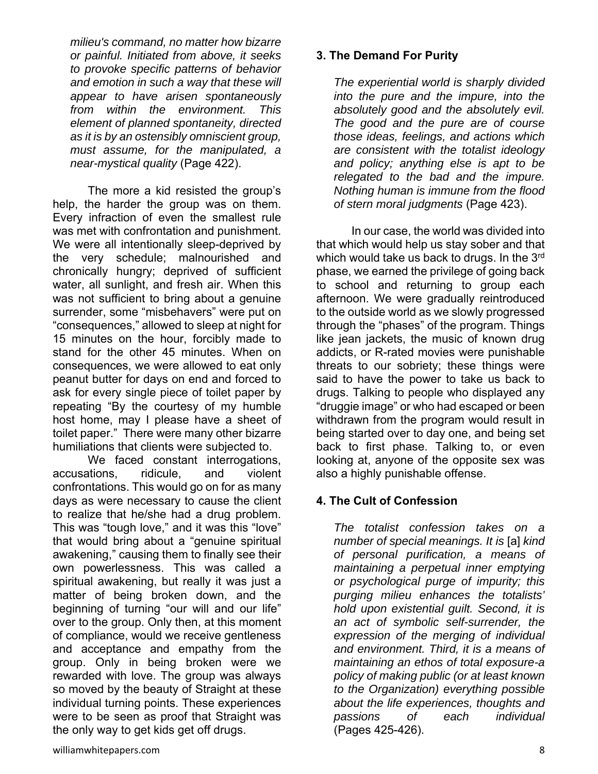*milieu's command, no matter how bizarre or painful. Initiated from above, it seeks to provoke specific patterns of behavior and emotion in such a way that these will appear to have arisen spontaneously from within the environment. This element of planned spontaneity, directed as it is by an ostensibly omniscient group, must assume, for the manipulated, a near-mystical quality* (Page 422).

 The more a kid resisted the group's help, the harder the group was on them. Every infraction of even the smallest rule was met with confrontation and punishment. We were all intentionally sleep-deprived by the very schedule; malnourished and chronically hungry; deprived of sufficient water, all sunlight, and fresh air. When this was not sufficient to bring about a genuine surrender, some "misbehavers" were put on "consequences," allowed to sleep at night for 15 minutes on the hour, forcibly made to stand for the other 45 minutes. When on consequences, we were allowed to eat only peanut butter for days on end and forced to ask for every single piece of toilet paper by repeating "By the courtesy of my humble host home, may I please have a sheet of toilet paper." There were many other bizarre humiliations that clients were subjected to.

 We faced constant interrogations, accusations, ridicule, and violent confrontations. This would go on for as many days as were necessary to cause the client to realize that he/she had a drug problem. This was "tough love," and it was this "love" that would bring about a "genuine spiritual awakening," causing them to finally see their own powerlessness. This was called a spiritual awakening, but really it was just a matter of being broken down, and the beginning of turning "our will and our life" over to the group. Only then, at this moment of compliance, would we receive gentleness and acceptance and empathy from the group. Only in being broken were we rewarded with love. The group was always so moved by the beauty of Straight at these individual turning points. These experiences were to be seen as proof that Straight was the only way to get kids get off drugs.

*The experiential world is sharply divided into the pure and the impure, into the absolutely good and the absolutely evil. The good and the pure are of course those ideas, feelings, and actions which are consistent with the totalist ideology and policy; anything else is apt to be relegated to the bad and the impure. Nothing human is immune from the flood of stern moral judgments* (Page 423).

 In our case, the world was divided into that which would help us stay sober and that which would take us back to drugs. In the 3rd phase, we earned the privilege of going back to school and returning to group each afternoon. We were gradually reintroduced to the outside world as we slowly progressed through the "phases" of the program. Things like jean jackets, the music of known drug addicts, or R-rated movies were punishable threats to our sobriety; these things were said to have the power to take us back to drugs. Talking to people who displayed any "druggie image" or who had escaped or been withdrawn from the program would result in being started over to day one, and being set back to first phase. Talking to, or even looking at, anyone of the opposite sex was also a highly punishable offense.

## **4. The Cult of Confession**

*The totalist confession takes on a number of special meanings. It is* [a] *kind of personal purification, a means of maintaining a perpetual inner emptying or psychological purge of impurity; this purging milieu enhances the totalists' hold upon existential guilt. Second, it is an act of symbolic self-surrender, the expression of the merging of individual and environment. Third, it is a means of maintaining an ethos of total exposure-a policy of making public (or at least known to the Organization) everything possible about the life experiences, thoughts and passions of each individual* (Pages 425-426).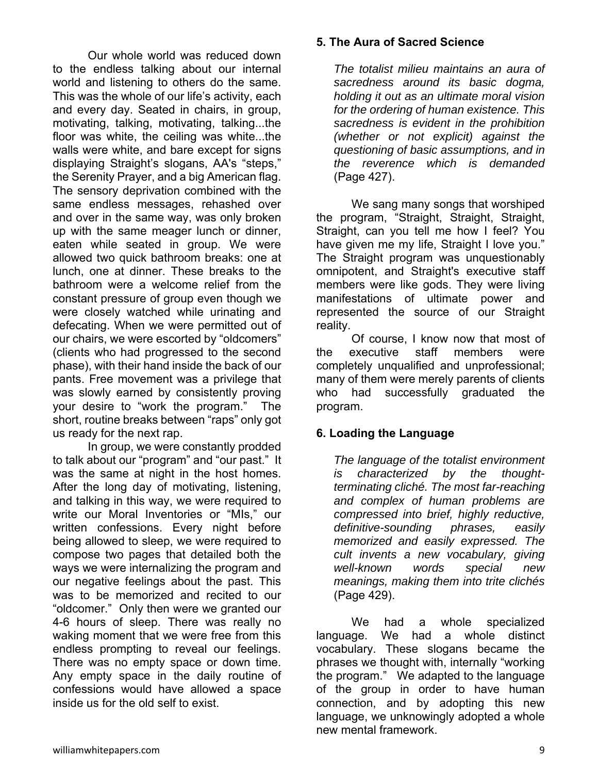Our whole world was reduced down to the endless talking about our internal world and listening to others do the same. This was the whole of our life's activity, each and every day. Seated in chairs, in group, motivating, talking, motivating, talking...the floor was white, the ceiling was white...the walls were white, and bare except for signs displaying Straight's slogans, AA's "steps," the Serenity Prayer, and a big American flag. The sensory deprivation combined with the same endless messages, rehashed over and over in the same way, was only broken up with the same meager lunch or dinner, eaten while seated in group. We were allowed two quick bathroom breaks: one at lunch, one at dinner. These breaks to the bathroom were a welcome relief from the constant pressure of group even though we were closely watched while urinating and defecating. When we were permitted out of our chairs, we were escorted by "oldcomers" (clients who had progressed to the second phase), with their hand inside the back of our pants. Free movement was a privilege that was slowly earned by consistently proving your desire to "work the program." The short, routine breaks between "raps" only got us ready for the next rap.

 In group, we were constantly prodded to talk about our "program" and "our past." It was the same at night in the host homes. After the long day of motivating, listening, and talking in this way, we were required to write our Moral Inventories or "MIs," our written confessions. Every night before being allowed to sleep, we were required to compose two pages that detailed both the ways we were internalizing the program and our negative feelings about the past. This was to be memorized and recited to our "oldcomer." Only then were we granted our 4-6 hours of sleep. There was really no waking moment that we were free from this endless prompting to reveal our feelings. There was no empty space or down time. Any empty space in the daily routine of confessions would have allowed a space inside us for the old self to exist.

#### **5. The Aura of Sacred Science**

*The totalist milieu maintains an aura of sacredness around its basic dogma, holding it out as an ultimate moral vision for the ordering of human existence. This sacredness is evident in the prohibition (whether or not explicit) against the questioning of basic assumptions, and in the reverence which is demanded*  (Page 427).

 We sang many songs that worshiped the program, "Straight, Straight, Straight, Straight, can you tell me how I feel? You have given me my life, Straight I love you." The Straight program was unquestionably omnipotent, and Straight's executive staff members were like gods. They were living manifestations of ultimate power and represented the source of our Straight reality.

 Of course, I know now that most of the executive staff members were completely unqualified and unprofessional; many of them were merely parents of clients who had successfully graduated the program.

## **6. Loading the Language**

*The language of the totalist environment is characterized by the thoughtterminating cliché. The most far-reaching and complex of human problems are compressed into brief, highly reductive, definitive-sounding phrases, easily memorized and easily expressed. The cult invents a new vocabulary, giving well-known words special new meanings, making them into trite clichés* (Page 429).

 We had a whole specialized language. We had a whole distinct vocabulary. These slogans became the phrases we thought with, internally "working the program." We adapted to the language of the group in order to have human connection, and by adopting this new language, we unknowingly adopted a whole new mental framework.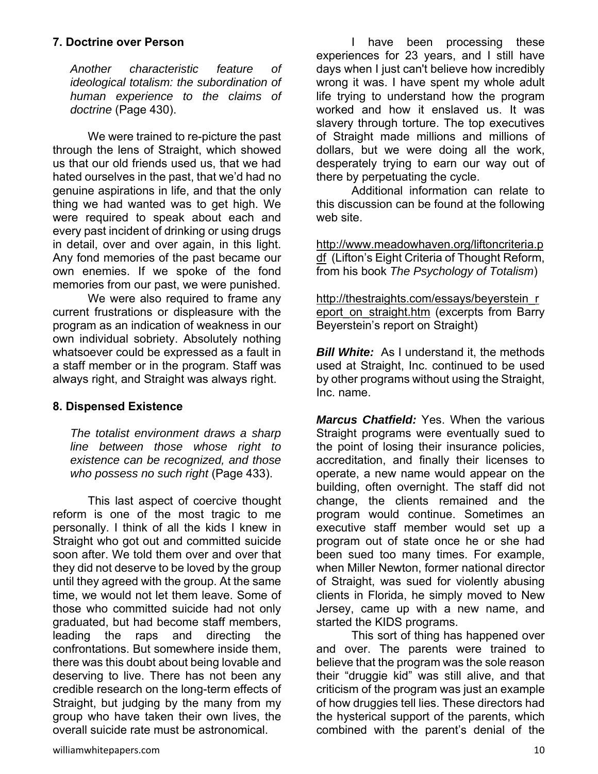#### **7. Doctrine over Person**

*Another characteristic feature of ideological totalism: the subordination of human experience to the claims of doctrine* (Page 430).

 We were trained to re-picture the past through the lens of Straight, which showed us that our old friends used us, that we had hated ourselves in the past, that we'd had no genuine aspirations in life, and that the only thing we had wanted was to get high. We were required to speak about each and every past incident of drinking or using drugs in detail, over and over again, in this light. Any fond memories of the past became our own enemies. If we spoke of the fond memories from our past, we were punished.

 We were also required to frame any current frustrations or displeasure with the program as an indication of weakness in our own individual sobriety. Absolutely nothing whatsoever could be expressed as a fault in a staff member or in the program. Staff was always right, and Straight was always right.

## **8. Dispensed Existence**

*The totalist environment draws a sharp line between those whose right to existence can be recognized, and those who possess no such right* (Page 433).

 This last aspect of coercive thought reform is one of the most tragic to me personally. I think of all the kids I knew in Straight who got out and committed suicide soon after. We told them over and over that they did not deserve to be loved by the group until they agreed with the group. At the same time, we would not let them leave. Some of those who committed suicide had not only graduated, but had become staff members, leading the raps and directing the confrontations. But somewhere inside them, there was this doubt about being lovable and deserving to live. There has not been any credible research on the long-term effects of Straight, but judging by the many from my group who have taken their own lives, the overall suicide rate must be astronomical.

 I have been processing these experiences for 23 years, and I still have days when I just can't believe how incredibly wrong it was. I have spent my whole adult life trying to understand how the program worked and how it enslaved us. It was slavery through torture. The top executives of Straight made millions and millions of dollars, but we were doing all the work, desperately trying to earn our way out of there by perpetuating the cycle.

 Additional information can relate to this discussion can be found at the following web site.

http://www.meadowhaven.org/liftoncriteria.p df (Lifton's Eight Criteria of Thought Reform, from his book *The Psychology of Totalism*)

http://thestraights.com/essays/beyerstein\_r eport\_on\_straight.htm (excerpts from Barry Beyerstein's report on Straight)

**Bill White:** As I understand it, the methods used at Straight, Inc. continued to be used by other programs without using the Straight, Inc. name.

*Marcus Chatfield:* Yes. When the various Straight programs were eventually sued to the point of losing their insurance policies, accreditation, and finally their licenses to operate, a new name would appear on the building, often overnight. The staff did not change, the clients remained and the program would continue. Sometimes an executive staff member would set up a program out of state once he or she had been sued too many times. For example, when Miller Newton, former national director of Straight, was sued for violently abusing clients in Florida, he simply moved to New Jersey, came up with a new name, and started the KIDS programs.

 This sort of thing has happened over and over. The parents were trained to believe that the program was the sole reason their "druggie kid" was still alive, and that criticism of the program was just an example of how druggies tell lies. These directors had the hysterical support of the parents, which combined with the parent's denial of the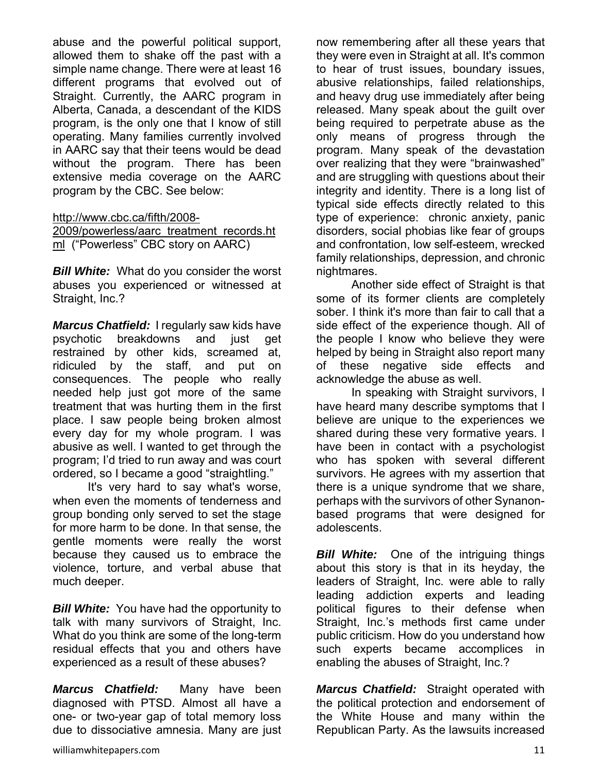abuse and the powerful political support, allowed them to shake off the past with a simple name change. There were at least 16 different programs that evolved out of Straight. Currently, the AARC program in Alberta, Canada, a descendant of the KIDS program, is the only one that I know of still operating. Many families currently involved in AARC say that their teens would be dead without the program. There has been extensive media coverage on the AARC program by the CBC. See below:

http://www.cbc.ca/fifth/2008-

2009/powerless/aarc\_treatment\_records.ht ml ("Powerless" CBC story on AARC)

*Bill White:*What do you consider the worst abuses you experienced or witnessed at Straight, Inc.?

*Marcus Chatfield:* I regularly saw kids have psychotic breakdowns and just get restrained by other kids, screamed at, ridiculed by the staff, and put on consequences. The people who really needed help just got more of the same treatment that was hurting them in the first place. I saw people being broken almost every day for my whole program. I was abusive as well. I wanted to get through the program; I'd tried to run away and was court ordered, so I became a good "straightling."

 It's very hard to say what's worse, when even the moments of tenderness and group bonding only served to set the stage for more harm to be done. In that sense, the gentle moments were really the worst because they caused us to embrace the violence, torture, and verbal abuse that much deeper.

*Bill White:* You have had the opportunity to talk with many survivors of Straight, Inc. What do you think are some of the long-term residual effects that you and others have experienced as a result of these abuses?

*Marcus Chatfield:* Many have been diagnosed with PTSD. Almost all have a one- or two-year gap of total memory loss due to dissociative amnesia. Many are just now remembering after all these years that they were even in Straight at all. It's common to hear of trust issues, boundary issues, abusive relationships, failed relationships, and heavy drug use immediately after being released. Many speak about the guilt over being required to perpetrate abuse as the only means of progress through the program. Many speak of the devastation over realizing that they were "brainwashed" and are struggling with questions about their integrity and identity. There is a long list of typical side effects directly related to this type of experience: chronic anxiety, panic disorders, social phobias like fear of groups and confrontation, low self-esteem, wrecked family relationships, depression, and chronic nightmares.

 Another side effect of Straight is that some of its former clients are completely sober. I think it's more than fair to call that a side effect of the experience though. All of the people I know who believe they were helped by being in Straight also report many of these negative side effects and acknowledge the abuse as well.

 In speaking with Straight survivors, I have heard many describe symptoms that I believe are unique to the experiences we shared during these very formative years. I have been in contact with a psychologist who has spoken with several different survivors. He agrees with my assertion that there is a unique syndrome that we share, perhaps with the survivors of other Synanonbased programs that were designed for adolescents.

*Bill White:* One of the intriguing things about this story is that in its heyday, the leaders of Straight, Inc. were able to rally leading addiction experts and leading political figures to their defense when Straight, Inc.'s methods first came under public criticism. How do you understand how such experts became accomplices in enabling the abuses of Straight, Inc.?

*Marcus Chatfield:* Straight operated with the political protection and endorsement of the White House and many within the Republican Party. As the lawsuits increased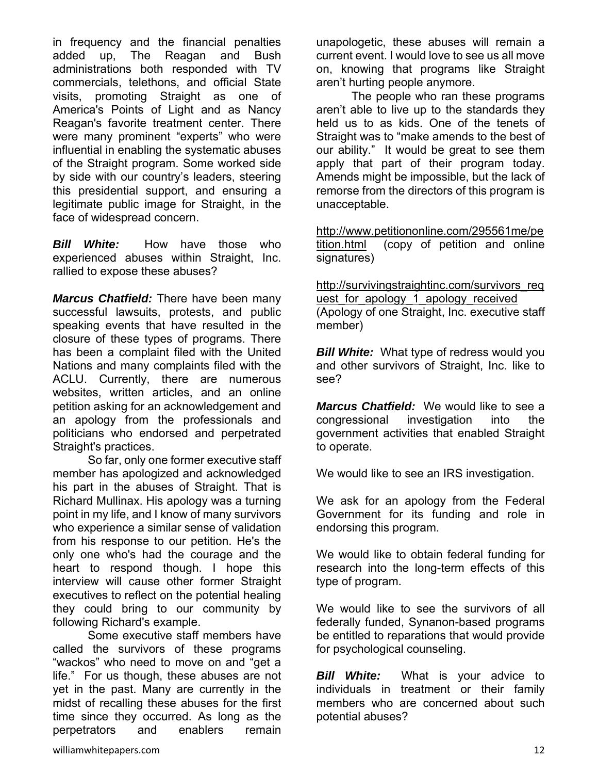in frequency and the financial penalties added up, The Reagan and Bush administrations both responded with TV commercials, telethons, and official State visits, promoting Straight as one of America's Points of Light and as Nancy Reagan's favorite treatment center. There were many prominent "experts" who were influential in enabling the systematic abuses of the Straight program. Some worked side by side with our country's leaders, steering this presidential support, and ensuring a legitimate public image for Straight, in the face of widespread concern.

*Bill White:*How have those who experienced abuses within Straight, Inc. rallied to expose these abuses?

*Marcus Chatfield:* There have been many successful lawsuits, protests, and public speaking events that have resulted in the closure of these types of programs. There has been a complaint filed with the United Nations and many complaints filed with the ACLU. Currently, there are numerous websites, written articles, and an online petition asking for an acknowledgement and an apology from the professionals and politicians who endorsed and perpetrated Straight's practices.

 So far, only one former executive staff member has apologized and acknowledged his part in the abuses of Straight. That is Richard Mullinax. His apology was a turning point in my life, and I know of many survivors who experience a similar sense of validation from his response to our petition. He's the only one who's had the courage and the heart to respond though. I hope this interview will cause other former Straight executives to reflect on the potential healing they could bring to our community by following Richard's example.

 Some executive staff members have called the survivors of these programs "wackos" who need to move on and "get a life." For us though, these abuses are not yet in the past. Many are currently in the midst of recalling these abuses for the first time since they occurred. As long as the perpetrators and enablers remain

unapologetic, these abuses will remain a current event. I would love to see us all move on, knowing that programs like Straight aren't hurting people anymore.

 The people who ran these programs aren't able to live up to the standards they held us to as kids. One of the tenets of Straight was to "make amends to the best of our ability." It would be great to see them apply that part of their program today. Amends might be impossible, but the lack of remorse from the directors of this program is unacceptable.

http://www.petitiononline.com/295561me/pe tition.html (copy of petition and online signatures)

http://survivingstraightinc.com/survivors\_req uest for apology 1 apology received (Apology of one Straight, Inc. executive staff member)

*Bill White:* What type of redress would you and other survivors of Straight, Inc. like to see?

*Marcus Chatfield:* We would like to see a congressional investigation into the government activities that enabled Straight to operate.

We would like to see an IRS investigation.

We ask for an apology from the Federal Government for its funding and role in endorsing this program.

We would like to obtain federal funding for research into the long-term effects of this type of program.

We would like to see the survivors of all federally funded, Synanon-based programs be entitled to reparations that would provide for psychological counseling.

*Bill White:* What is your advice to individuals in treatment or their family members who are concerned about such potential abuses?